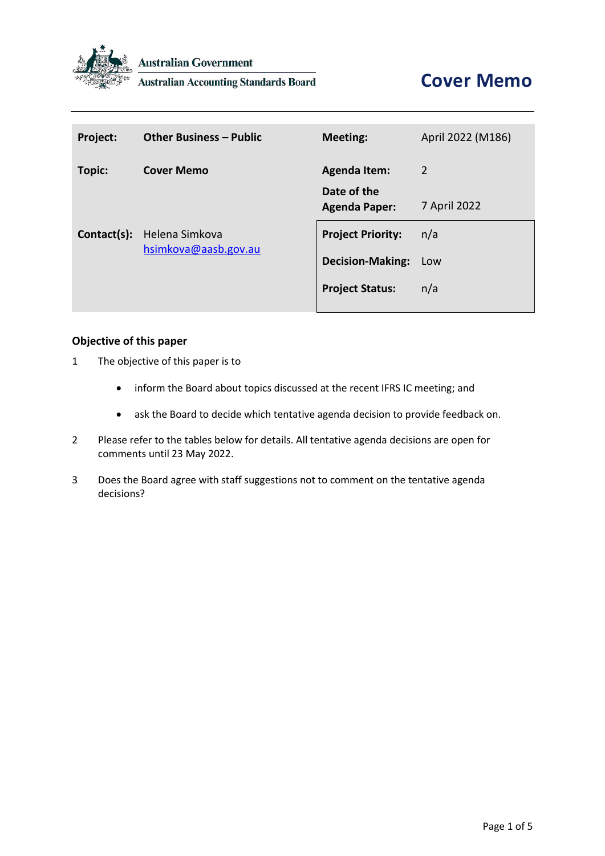

**Australian Government** 

**Australian Accounting Standards Board** 

| Project:    | <b>Other Business - Public</b>         | <b>Meeting:</b>                     | April 2022 (M186) |
|-------------|----------------------------------------|-------------------------------------|-------------------|
| Topic:      | <b>Cover Memo</b>                      | <b>Agenda Item:</b>                 | 2                 |
| Contact(s): | Helena Simkova<br>hsimkova@aasb.gov.au | Date of the<br><b>Agenda Paper:</b> | 7 April 2022      |
|             |                                        | <b>Project Priority:</b>            | n/a               |
|             |                                        | <b>Decision-Making:</b>             | Low               |
|             |                                        | <b>Project Status:</b>              | n/a               |
|             |                                        |                                     |                   |

## **Objective of this paper**

- 1 The objective of this paper is to
	- inform the Board about topics discussed at the recent IFRS IC meeting; and
	- ask the Board to decide which tentative agenda decision to provide feedback on.
- 2 Please refer to the tables below for details. All tentative agenda decisions are open for comments until 23 May 2022.
- 3 Does the Board agree with staff suggestions not to comment on the tentative agenda decisions?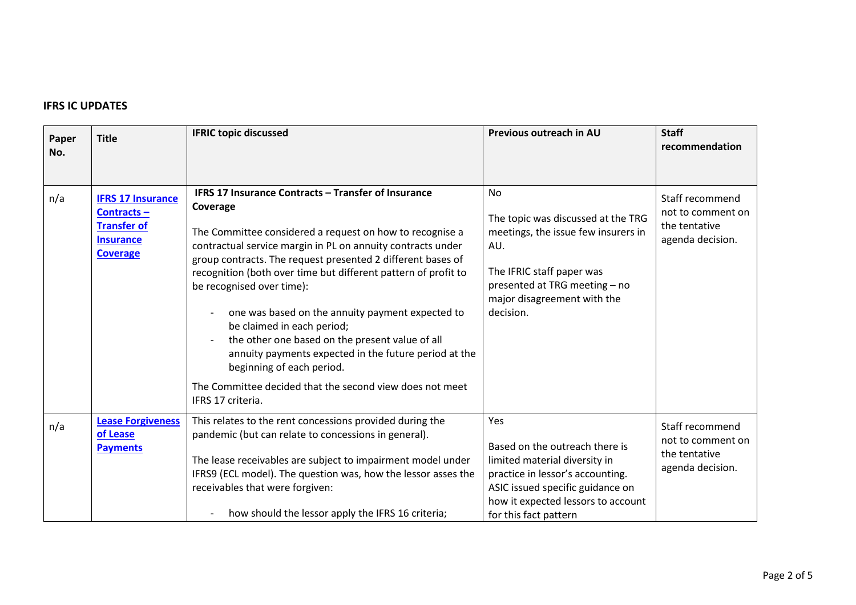## **IFRS IC UPDATES**

| Paper<br>No. | <b>Title</b>                                                                                        | <b>IFRIC topic discussed</b>                                                                                                                                                                                                                                                                                                                                                                                                                                                                                                                                                                                                                                         | Previous outreach in AU                                                                                                                                                                                       | <b>Staff</b><br>recommendation                                            |
|--------------|-----------------------------------------------------------------------------------------------------|----------------------------------------------------------------------------------------------------------------------------------------------------------------------------------------------------------------------------------------------------------------------------------------------------------------------------------------------------------------------------------------------------------------------------------------------------------------------------------------------------------------------------------------------------------------------------------------------------------------------------------------------------------------------|---------------------------------------------------------------------------------------------------------------------------------------------------------------------------------------------------------------|---------------------------------------------------------------------------|
| n/a          | <b>IFRS 17 Insurance</b><br>Contracts-<br><b>Transfer of</b><br><b>Insurance</b><br><b>Coverage</b> | IFRS 17 Insurance Contracts - Transfer of Insurance<br>Coverage<br>The Committee considered a request on how to recognise a<br>contractual service margin in PL on annuity contracts under<br>group contracts. The request presented 2 different bases of<br>recognition (both over time but different pattern of profit to<br>be recognised over time):<br>one was based on the annuity payment expected to<br>be claimed in each period;<br>the other one based on the present value of all<br>annuity payments expected in the future period at the<br>beginning of each period.<br>The Committee decided that the second view does not meet<br>IFRS 17 criteria. | <b>No</b><br>The topic was discussed at the TRG<br>meetings, the issue few insurers in<br>AU.<br>The IFRIC staff paper was<br>presented at TRG meeting - no<br>major disagreement with the<br>decision.       | Staff recommend<br>not to comment on<br>the tentative<br>agenda decision. |
| n/a          | <b>Lease Forgiveness</b><br>of Lease<br><b>Payments</b>                                             | This relates to the rent concessions provided during the<br>pandemic (but can relate to concessions in general).<br>The lease receivables are subject to impairment model under<br>IFRS9 (ECL model). The question was, how the lessor asses the<br>receivables that were forgiven:<br>how should the lessor apply the IFRS 16 criteria;                                                                                                                                                                                                                                                                                                                             | Yes<br>Based on the outreach there is<br>limited material diversity in<br>practice in lessor's accounting.<br>ASIC issued specific guidance on<br>how it expected lessors to account<br>for this fact pattern | Staff recommend<br>not to comment on<br>the tentative<br>agenda decision. |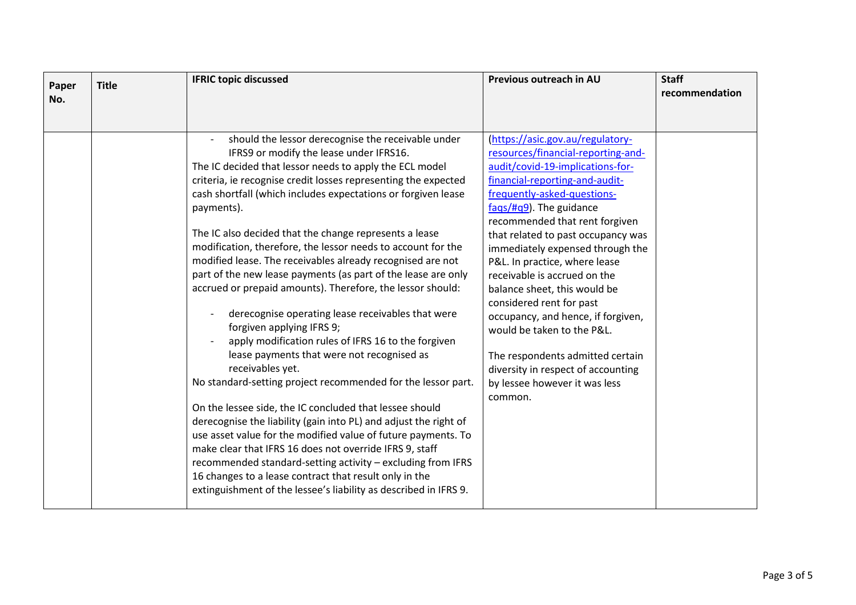| Paper | <b>Title</b> | <b>IFRIC topic discussed</b>                                                   | Previous outreach in AU            | <b>Staff</b>   |
|-------|--------------|--------------------------------------------------------------------------------|------------------------------------|----------------|
| No.   |              |                                                                                |                                    | recommendation |
|       |              |                                                                                |                                    |                |
|       |              | should the lessor derecognise the receivable under                             | (https://asic.gov.au/regulatory-   |                |
|       |              | IFRS9 or modify the lease under IFRS16.                                        | resources/financial-reporting-and- |                |
|       |              | The IC decided that lessor needs to apply the ECL model                        | audit/covid-19-implications-for-   |                |
|       |              | criteria, ie recognise credit losses representing the expected                 | financial-reporting-and-audit-     |                |
|       |              | cash shortfall (which includes expectations or forgiven lease                  | frequently-asked-questions-        |                |
|       |              | payments).                                                                     | $fags/$ #q9). The guidance         |                |
|       |              |                                                                                | recommended that rent forgiven     |                |
|       |              | The IC also decided that the change represents a lease                         | that related to past occupancy was |                |
|       |              | modification, therefore, the lessor needs to account for the                   | immediately expensed through the   |                |
|       |              | modified lease. The receivables already recognised are not                     | P&L. In practice, where lease      |                |
|       |              | part of the new lease payments (as part of the lease are only                  | receivable is accrued on the       |                |
|       |              | accrued or prepaid amounts). Therefore, the lessor should:                     | balance sheet, this would be       |                |
|       |              |                                                                                | considered rent for past           |                |
|       |              | derecognise operating lease receivables that were<br>forgiven applying IFRS 9; | occupancy, and hence, if forgiven, |                |
|       |              | apply modification rules of IFRS 16 to the forgiven                            | would be taken to the P&L.         |                |
|       |              | lease payments that were not recognised as                                     | The respondents admitted certain   |                |
|       |              | receivables yet.                                                               | diversity in respect of accounting |                |
|       |              | No standard-setting project recommended for the lessor part.                   | by lessee however it was less      |                |
|       |              |                                                                                | common.                            |                |
|       |              | On the lessee side, the IC concluded that lessee should                        |                                    |                |
|       |              | derecognise the liability (gain into PL) and adjust the right of               |                                    |                |
|       |              | use asset value for the modified value of future payments. To                  |                                    |                |
|       |              | make clear that IFRS 16 does not override IFRS 9, staff                        |                                    |                |
|       |              | recommended standard-setting activity - excluding from IFRS                    |                                    |                |
|       |              | 16 changes to a lease contract that result only in the                         |                                    |                |
|       |              | extinguishment of the lessee's liability as described in IFRS 9.               |                                    |                |
|       |              |                                                                                |                                    |                |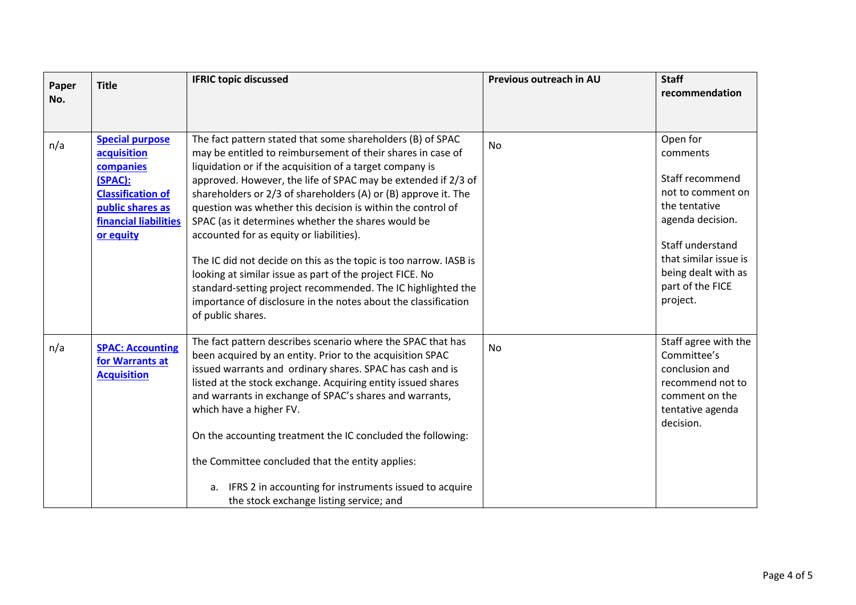| Paper | <b>Title</b>             | <b>IFRIC topic discussed</b>                                      | Previous outreach in AU | <b>Staff</b>          |
|-------|--------------------------|-------------------------------------------------------------------|-------------------------|-----------------------|
| No.   |                          |                                                                   |                         | recommendation        |
|       |                          |                                                                   |                         |                       |
|       |                          |                                                                   |                         |                       |
| n/a   | <b>Special purpose</b>   | The fact pattern stated that some shareholders (B) of SPAC        | <b>No</b>               | Open for              |
|       | acquisition              | may be entitled to reimbursement of their shares in case of       |                         | comments              |
|       | companies                | liquidation or if the acquisition of a target company is          |                         |                       |
|       | (SPAC):                  | approved. However, the life of SPAC may be extended if 2/3 of     |                         | Staff recommend       |
|       | <b>Classification of</b> | shareholders or 2/3 of shareholders (A) or (B) approve it. The    |                         | not to comment on     |
|       | public shares as         | question was whether this decision is within the control of       |                         | the tentative         |
|       | financial liabilities    | SPAC (as it determines whether the shares would be                |                         | agenda decision.      |
|       | or equity                | accounted for as equity or liabilities).                          |                         |                       |
|       |                          |                                                                   |                         | Staff understand      |
|       |                          | The IC did not decide on this as the topic is too narrow. IASB is |                         | that similar issue is |
|       |                          | looking at similar issue as part of the project FICE. No          |                         | being dealt with as   |
|       |                          | standard-setting project recommended. The IC highlighted the      |                         | part of the FICE      |
|       |                          | importance of disclosure in the notes about the classification    |                         | project.              |
|       |                          | of public shares.                                                 |                         |                       |
|       |                          |                                                                   |                         |                       |
| n/a   | <b>SPAC: Accounting</b>  | The fact pattern describes scenario where the SPAC that has       | No                      | Staff agree with the  |
|       | for Warrants at          | been acquired by an entity. Prior to the acquisition SPAC         |                         | Committee's           |
|       | <b>Acquisition</b>       | issued warrants and ordinary shares. SPAC has cash and is         |                         | conclusion and        |
|       |                          | listed at the stock exchange. Acquiring entity issued shares      |                         | recommend not to      |
|       |                          | and warrants in exchange of SPAC's shares and warrants,           |                         | comment on the        |
|       |                          | which have a higher FV.                                           |                         | tentative agenda      |
|       |                          |                                                                   |                         | decision.             |
|       |                          | On the accounting treatment the IC concluded the following:       |                         |                       |
|       |                          | the Committee concluded that the entity applies:                  |                         |                       |
|       |                          |                                                                   |                         |                       |
|       |                          | a. IFRS 2 in accounting for instruments issued to acquire         |                         |                       |
|       |                          | the stock exchange listing service; and                           |                         |                       |